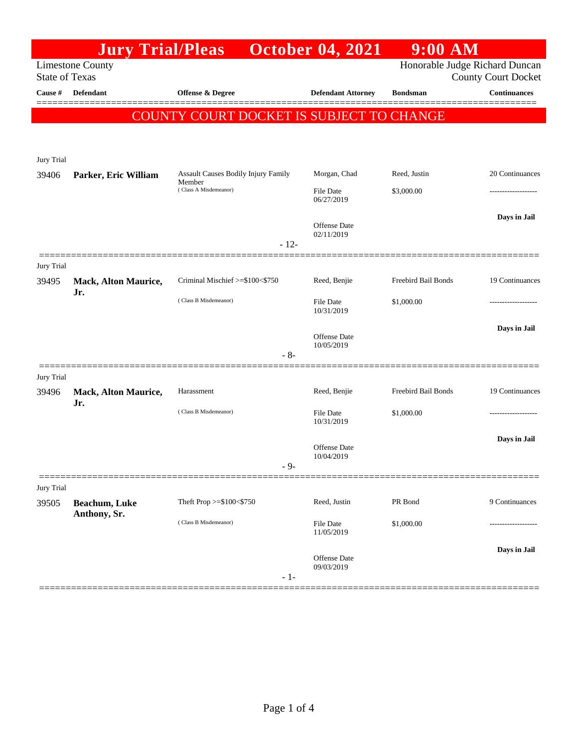|                       | <b>Jury Trial/Pleas</b>              |                                                                        | <b>October 04, 2021</b>   | <b>9:00 AM</b>             |                                |
|-----------------------|--------------------------------------|------------------------------------------------------------------------|---------------------------|----------------------------|--------------------------------|
|                       | <b>Limestone County</b>              |                                                                        |                           |                            | Honorable Judge Richard Duncan |
| <b>State of Texas</b> |                                      |                                                                        |                           |                            | <b>County Court Docket</b>     |
| Cause #               | <b>Defendant</b>                     | <b>Offense &amp; Degree</b>                                            | <b>Defendant Attorney</b> | <b>Bondsman</b>            | <b>Continuances</b>            |
|                       |                                      | COUNTY COURT DOCKET IS SUBJECT TO CHANGE                               |                           |                            |                                |
|                       |                                      |                                                                        |                           |                            |                                |
|                       |                                      |                                                                        |                           |                            |                                |
| <b>Jury Trial</b>     |                                      |                                                                        |                           |                            |                                |
| 39406                 | Parker, Eric William                 | Assault Causes Bodily Injury Family<br>Member<br>(Class A Misdemeanor) | Morgan, Chad              | Reed, Justin               | 20 Continuances                |
|                       |                                      |                                                                        | File Date                 | \$3,000.00                 |                                |
|                       |                                      |                                                                        | 06/27/2019                |                            |                                |
|                       |                                      |                                                                        | Offense Date              |                            | Days in Jail                   |
|                       |                                      | $-12-$                                                                 | 02/11/2019                |                            |                                |
|                       |                                      |                                                                        |                           |                            |                                |
| Jury Trial            |                                      |                                                                        |                           |                            |                                |
| 39495                 | <b>Mack, Alton Maurice,</b><br>Jr.   | Criminal Mischief >=\$100<\$750                                        | Reed, Benjie              | Freebird Bail Bonds        | 19 Continuances                |
|                       |                                      | (Class B Misdemeanor)                                                  | File Date                 | \$1,000.00                 |                                |
|                       |                                      |                                                                        | 10/31/2019                |                            |                                |
|                       |                                      |                                                                        | Offense Date              |                            | Days in Jail                   |
|                       |                                      | $-8-$                                                                  | 10/05/2019                |                            |                                |
|                       |                                      |                                                                        |                           |                            |                                |
| <b>Jury Trial</b>     |                                      |                                                                        |                           |                            |                                |
| 39496                 | Mack, Alton Maurice,<br>Jr.          | Harassment                                                             | Reed, Benjie              | <b>Freebird Bail Bonds</b> | 19 Continuances                |
|                       |                                      | (Class B Misdemeanor)                                                  | File Date                 | \$1,000.00                 |                                |
|                       |                                      |                                                                        | 10/31/2019                |                            |                                |
|                       |                                      |                                                                        | Offense Date              |                            | Days in Jail                   |
|                       |                                      | - 9-                                                                   | 10/04/2019                |                            |                                |
|                       |                                      |                                                                        |                           |                            |                                |
| <b>Jury Trial</b>     |                                      |                                                                        |                           |                            |                                |
| 39505                 | <b>Beachum, Luke</b><br>Anthony, Sr. | Theft Prop >=\$100<\$750                                               | Reed, Justin              | PR Bond                    | 9 Continuances                 |
|                       |                                      | (Class B Misdemeanor)                                                  | File Date                 | \$1,000.00                 | ----------------               |
|                       |                                      |                                                                        | 11/05/2019                |                            |                                |
|                       |                                      |                                                                        | <b>Offense Date</b>       |                            | Days in Jail                   |
|                       |                                      | $-1-$                                                                  | 09/03/2019                |                            |                                |
|                       |                                      |                                                                        |                           |                            |                                |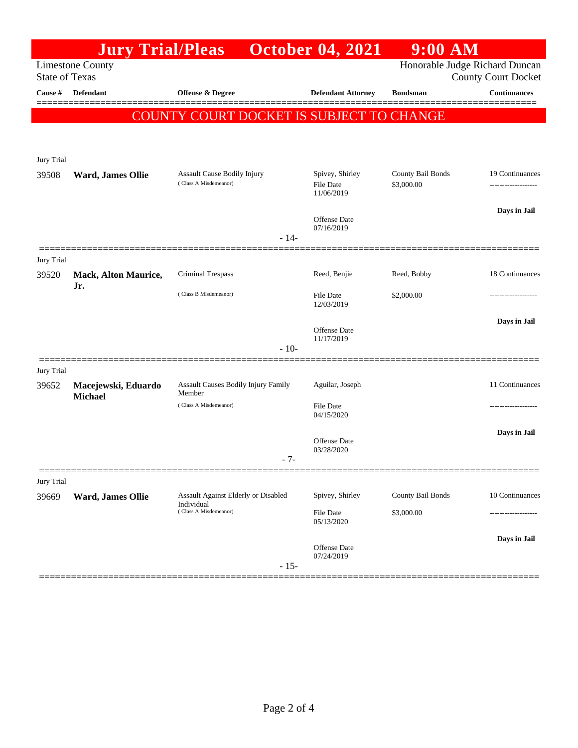|                                                  |                                       |                                          | <b>October 04, 2021</b>           | $9:00$ AM                      |                            |
|--------------------------------------------------|---------------------------------------|------------------------------------------|-----------------------------------|--------------------------------|----------------------------|
| <b>Limestone County</b><br><b>State of Texas</b> |                                       |                                          |                                   | Honorable Judge Richard Duncan | <b>County Court Docket</b> |
| Cause #                                          | <b>Defendant</b>                      | Offense & Degree                         | <b>Defendant Attorney</b>         | <b>Bondsman</b>                | <b>Continuances</b>        |
|                                                  |                                       | COUNTY COURT DOCKET IS SUBJECT TO CHANGE |                                   |                                |                            |
|                                                  |                                       |                                          |                                   |                                |                            |
| Jury Trial                                       |                                       |                                          |                                   |                                |                            |
| 39508                                            | Ward, James Ollie                     | Assault Cause Bodily Injury              | Spivey, Shirley                   | County Bail Bonds              | 19 Continuances            |
|                                                  |                                       | (Class A Misdemeanor)                    | File Date<br>11/06/2019           | \$3,000.00                     |                            |
|                                                  |                                       |                                          |                                   |                                | Days in Jail               |
|                                                  |                                       |                                          | <b>Offense</b> Date<br>07/16/2019 |                                |                            |
|                                                  |                                       | $-14-$                                   |                                   |                                |                            |
| <b>Jury Trial</b>                                |                                       |                                          | Reed, Benjie                      | Reed, Bobby                    | 18 Continuances            |
| 39520                                            | <b>Mack, Alton Maurice,</b><br>Jr.    | Criminal Trespass                        |                                   |                                |                            |
|                                                  |                                       | (Class B Misdemeanor)                    | <b>File Date</b><br>12/03/2019    | \$2,000.00                     |                            |
|                                                  |                                       |                                          |                                   |                                | Days in Jail               |
|                                                  |                                       |                                          | Offense Date<br>11/17/2019        |                                |                            |
|                                                  |                                       | $-10-$                                   |                                   |                                |                            |
| Jury Trial<br>39652                              |                                       | Assault Causes Bodily Injury Family      | Aguilar, Joseph                   |                                | 11 Continuances            |
|                                                  | Macejewski, Eduardo<br><b>Michael</b> | Member                                   |                                   |                                |                            |
|                                                  |                                       | (Class A Misdemeanor)                    | File Date<br>04/15/2020           |                                |                            |
|                                                  |                                       |                                          | <b>Offense</b> Date               |                                | Days in Jail               |
|                                                  |                                       | $-7-$                                    | 03/28/2020                        |                                |                            |
|                                                  |                                       |                                          |                                   |                                |                            |
| <b>Jury Trial</b><br>39669                       | Ward, James Ollie                     | Assault Against Elderly or Disabled      | Spivey, Shirley                   | County Bail Bonds              | 10 Continuances            |
|                                                  |                                       | Individual<br>(Class A Misdemeanor)      | File Date                         | \$3,000.00                     |                            |
|                                                  |                                       |                                          | 05/13/2020                        |                                |                            |
|                                                  |                                       |                                          | Offense Date                      |                                | Days in Jail               |
|                                                  |                                       | $-15-$                                   | 07/24/2019                        |                                |                            |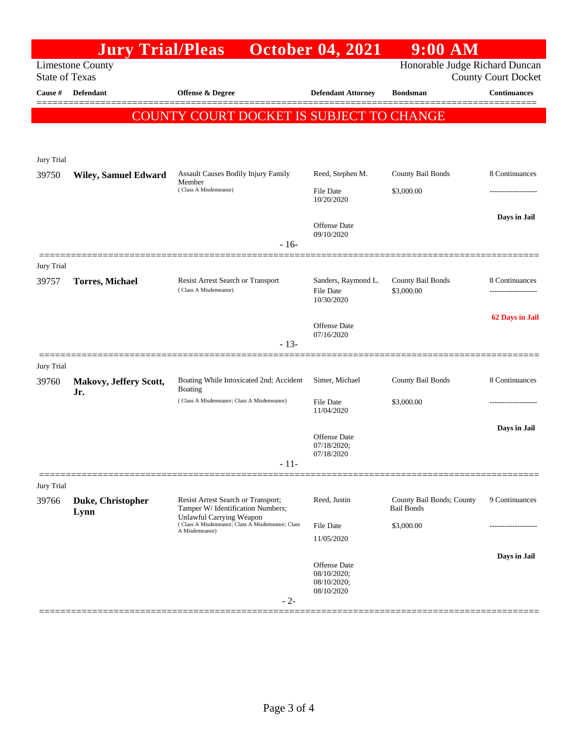|                       | <b>Jury Trial/Pleas</b>                  |                                                                                                                                                                           | <b>October 04, 2021</b>                 | $9:00$ AM                                      |                     |  |  |
|-----------------------|------------------------------------------|---------------------------------------------------------------------------------------------------------------------------------------------------------------------------|-----------------------------------------|------------------------------------------------|---------------------|--|--|
|                       | <b>Limestone County</b>                  | Honorable Judge Richard Duncan                                                                                                                                            |                                         |                                                |                     |  |  |
| <b>State of Texas</b> |                                          |                                                                                                                                                                           | <b>County Court Docket</b>              |                                                |                     |  |  |
| Cause #               | <b>Defendant</b>                         | <b>Offense &amp; Degree</b>                                                                                                                                               | <b>Defendant Attorney</b>               | <b>Bondsman</b>                                | <b>Continuances</b> |  |  |
|                       |                                          |                                                                                                                                                                           |                                         |                                                |                     |  |  |
|                       | COUNTY COURT DOCKET IS SUBJECT TO CHANGE |                                                                                                                                                                           |                                         |                                                |                     |  |  |
|                       |                                          |                                                                                                                                                                           |                                         |                                                |                     |  |  |
| Jury Trial            |                                          |                                                                                                                                                                           |                                         |                                                |                     |  |  |
| 39750                 | <b>Wiley, Samuel Edward</b>              | Assault Causes Bodily Injury Family                                                                                                                                       | Reed, Stephen M.                        | County Bail Bonds                              | 8 Continuances      |  |  |
|                       |                                          | Member<br>(Class A Misdemeanor)                                                                                                                                           | File Date                               | \$3,000.00                                     |                     |  |  |
|                       |                                          |                                                                                                                                                                           | 10/20/2020                              |                                                |                     |  |  |
|                       |                                          |                                                                                                                                                                           | Offense Date                            |                                                | Days in Jail        |  |  |
|                       |                                          |                                                                                                                                                                           | 09/10/2020                              |                                                |                     |  |  |
|                       |                                          | $-16-$                                                                                                                                                                    |                                         |                                                |                     |  |  |
| <b>Jury Trial</b>     |                                          |                                                                                                                                                                           |                                         |                                                |                     |  |  |
| 39757                 | <b>Torres, Michael</b>                   | Resist Arrest Search or Transport<br>(Class A Misdemeanor)                                                                                                                | Sanders, Raymond L.<br><b>File Date</b> | County Bail Bonds<br>\$3,000.00                | 8 Continuances<br>  |  |  |
|                       |                                          |                                                                                                                                                                           | 10/30/2020                              |                                                |                     |  |  |
|                       |                                          |                                                                                                                                                                           |                                         |                                                | 62 Days in Jail     |  |  |
|                       |                                          |                                                                                                                                                                           | <b>Offense</b> Date<br>07/16/2020       |                                                |                     |  |  |
|                       |                                          | $-13-$                                                                                                                                                                    |                                         |                                                |                     |  |  |
| <b>Jury Trial</b>     |                                          |                                                                                                                                                                           |                                         |                                                |                     |  |  |
| 39760                 | Makovy, Jeffery Scott,                   | Boating While Intoxicated 2nd; Accident                                                                                                                                   | Simer, Michael                          | County Bail Bonds                              | 8 Continuances      |  |  |
|                       | Jr.                                      | Boating<br>(Class A Misdemeanor; Class A Misdemeanor)                                                                                                                     | File Date                               | \$3,000.00                                     |                     |  |  |
|                       |                                          |                                                                                                                                                                           | 11/04/2020                              |                                                |                     |  |  |
|                       |                                          |                                                                                                                                                                           |                                         |                                                | Days in Jail        |  |  |
|                       |                                          |                                                                                                                                                                           | Offense Date<br>07/18/2020;             |                                                |                     |  |  |
|                       |                                          | - 11-                                                                                                                                                                     | 07/18/2020                              |                                                |                     |  |  |
|                       |                                          |                                                                                                                                                                           |                                         |                                                |                     |  |  |
| Jury Trial            |                                          |                                                                                                                                                                           |                                         |                                                |                     |  |  |
| 39766                 | Duke, Christopher<br>Lynn                | Resist Arrest Search or Transport;<br>Tamper W/ Identification Numbers;<br>Unlawful Carrying Weapon<br>(Class A Misdemeanor; Class A Misdemeanor; Class<br>A Misdemeanor) | Reed, Justin                            | County Bail Bonds; County<br><b>Bail Bonds</b> | 9 Continuances      |  |  |
|                       |                                          |                                                                                                                                                                           | File Date                               | \$3,000.00                                     | ----------------    |  |  |
|                       |                                          |                                                                                                                                                                           | 11/05/2020                              |                                                |                     |  |  |
|                       |                                          |                                                                                                                                                                           | <b>Offense</b> Date                     |                                                | Days in Jail        |  |  |
|                       |                                          |                                                                                                                                                                           | 08/10/2020;<br>08/10/2020;              |                                                |                     |  |  |
|                       |                                          |                                                                                                                                                                           | 08/10/2020                              |                                                |                     |  |  |
|                       |                                          | $-2-$                                                                                                                                                                     |                                         |                                                |                     |  |  |